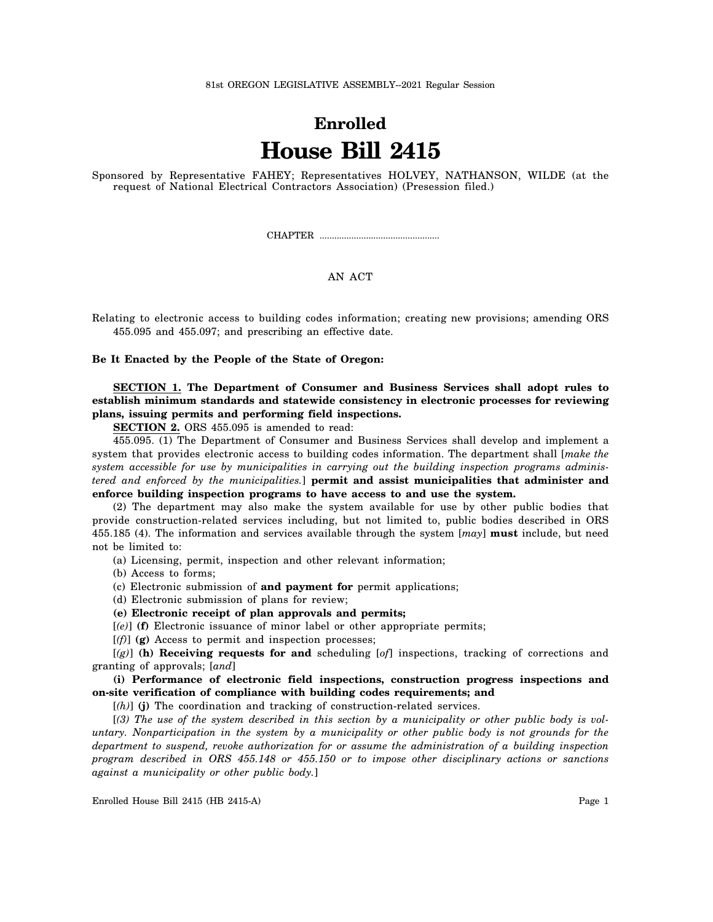81st OREGON LEGISLATIVE ASSEMBLY--2021 Regular Session

## **Enrolled House Bill 2415**

Sponsored by Representative FAHEY; Representatives HOLVEY, NATHANSON, WILDE (at the request of National Electrical Contractors Association) (Presession filed.)

CHAPTER .................................................

## AN ACT

Relating to electronic access to building codes information; creating new provisions; amending ORS 455.095 and 455.097; and prescribing an effective date.

**Be It Enacted by the People of the State of Oregon:**

**SECTION 1. The Department of Consumer and Business Services shall adopt rules to establish minimum standards and statewide consistency in electronic processes for reviewing plans, issuing permits and performing field inspections.**

**SECTION 2.** ORS 455.095 is amended to read:

455.095. (1) The Department of Consumer and Business Services shall develop and implement a system that provides electronic access to building codes information. The department shall [*make the system accessible for use by municipalities in carrying out the building inspection programs administered and enforced by the municipalities.*] **permit and assist municipalities that administer and enforce building inspection programs to have access to and use the system.**

(2) The department may also make the system available for use by other public bodies that provide construction-related services including, but not limited to, public bodies described in ORS 455.185 (4). The information and services available through the system [*may*] **must** include, but need not be limited to:

(a) Licensing, permit, inspection and other relevant information;

(b) Access to forms;

(c) Electronic submission of **and payment for** permit applications;

(d) Electronic submission of plans for review;

**(e) Electronic receipt of plan approvals and permits;**

[*(e)*] **(f)** Electronic issuance of minor label or other appropriate permits;

[*(f)*] **(g)** Access to permit and inspection processes;

[*(g)*] **(h) Receiving requests for and** scheduling [*of*] inspections, tracking of corrections and granting of approvals; [*and*]

**(i) Performance of electronic field inspections, construction progress inspections and on-site verification of compliance with building codes requirements; and**

[*(h)*] **(j)** The coordination and tracking of construction-related services.

[*(3) The use of the system described in this section by a municipality or other public body is voluntary. Nonparticipation in the system by a municipality or other public body is not grounds for the department to suspend, revoke authorization for or assume the administration of a building inspection program described in ORS 455.148 or 455.150 or to impose other disciplinary actions or sanctions against a municipality or other public body.*]

Enrolled House Bill 2415 (HB 2415-A) Page 1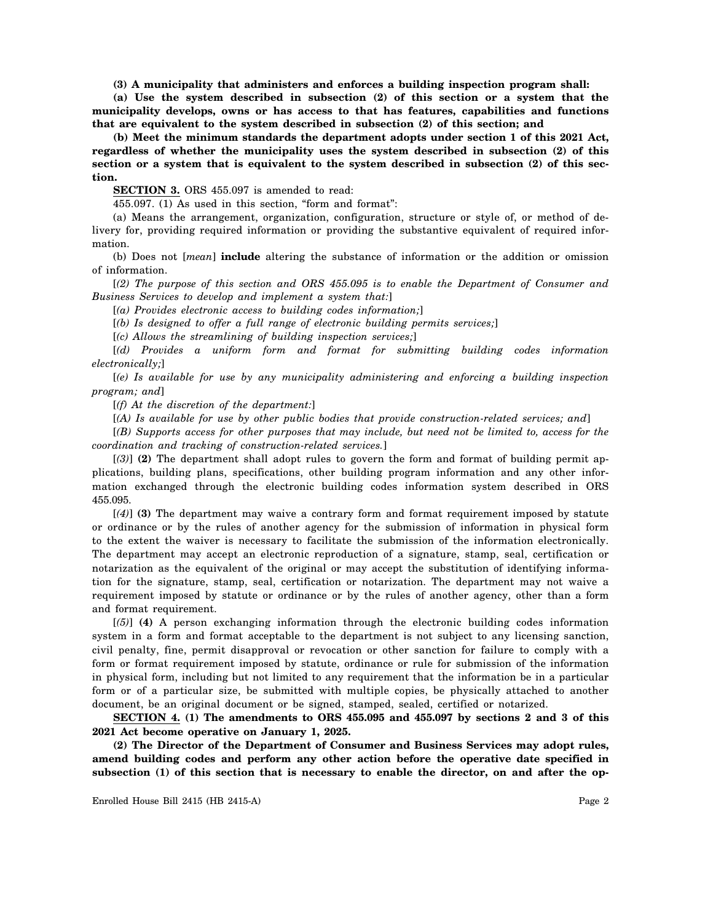**(3) A municipality that administers and enforces a building inspection program shall:**

**(a) Use the system described in subsection (2) of this section or a system that the municipality develops, owns or has access to that has features, capabilities and functions that are equivalent to the system described in subsection (2) of this section; and**

**(b) Meet the minimum standards the department adopts under section 1 of this 2021 Act, regardless of whether the municipality uses the system described in subsection (2) of this section or a system that is equivalent to the system described in subsection (2) of this section.**

**SECTION 3.** ORS 455.097 is amended to read:

455.097. (1) As used in this section, "form and format":

(a) Means the arrangement, organization, configuration, structure or style of, or method of delivery for, providing required information or providing the substantive equivalent of required information.

(b) Does not [*mean*] **include** altering the substance of information or the addition or omission of information.

[*(2) The purpose of this section and ORS 455.095 is to enable the Department of Consumer and Business Services to develop and implement a system that:*]

[*(a) Provides electronic access to building codes information;*]

[*(b) Is designed to offer a full range of electronic building permits services;*]

[*(c) Allows the streamlining of building inspection services;*]

[*(d) Provides a uniform form and format for submitting building codes information electronically;*]

[*(e) Is available for use by any municipality administering and enforcing a building inspection program; and*]

[*(f) At the discretion of the department:*]

[*(A) Is available for use by other public bodies that provide construction-related services; and*]

[*(B) Supports access for other purposes that may include, but need not be limited to, access for the coordination and tracking of construction-related services.*]

[*(3)*] **(2)** The department shall adopt rules to govern the form and format of building permit applications, building plans, specifications, other building program information and any other information exchanged through the electronic building codes information system described in ORS 455.095.

[*(4)*] **(3)** The department may waive a contrary form and format requirement imposed by statute or ordinance or by the rules of another agency for the submission of information in physical form to the extent the waiver is necessary to facilitate the submission of the information electronically. The department may accept an electronic reproduction of a signature, stamp, seal, certification or notarization as the equivalent of the original or may accept the substitution of identifying information for the signature, stamp, seal, certification or notarization. The department may not waive a requirement imposed by statute or ordinance or by the rules of another agency, other than a form and format requirement.

[*(5)*] **(4)** A person exchanging information through the electronic building codes information system in a form and format acceptable to the department is not subject to any licensing sanction, civil penalty, fine, permit disapproval or revocation or other sanction for failure to comply with a form or format requirement imposed by statute, ordinance or rule for submission of the information in physical form, including but not limited to any requirement that the information be in a particular form or of a particular size, be submitted with multiple copies, be physically attached to another document, be an original document or be signed, stamped, sealed, certified or notarized.

**SECTION 4. (1) The amendments to ORS 455.095 and 455.097 by sections 2 and 3 of this 2021 Act become operative on January 1, 2025.**

**(2) The Director of the Department of Consumer and Business Services may adopt rules, amend building codes and perform any other action before the operative date specified in subsection (1) of this section that is necessary to enable the director, on and after the op-**